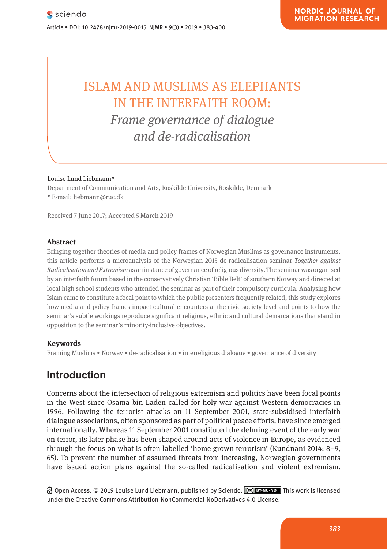# ISLAM AND MUSLIMS AS ELEPHANTS IN THE INTERFAITH ROOM: *Frame governance of dialogue and de-radicalisation*

#### Louise Lund Liebmann\*

Department of Communication and Arts, Roskilde University, Roskilde, Denmark \* E-mail: liebmann@ruc.dk

Received 7 June 2017; Accepted 5 March 2019

#### **Abstract**

Bringing together theories of media and policy frames of Norwegian Muslims as governance instruments, this article performs a microanalysis of the Norwegian 2015 de-radicalisation seminar *Together against Radicalisation and Extremism* as an instance of governance of religious diversity*.* The seminar was organised by an interfaith forum based in the conservatively Christian 'Bible Belt' of southern Norway and directed at local high school students who attended the seminar as part of their compulsory curricula. Analysing how Islam came to constitute a focal point to which the public presenters frequently related, this study explores how media and policy frames impact cultural encounters at the civic society level and points to how the seminar's subtle workings reproduce significant religious, ethnic and cultural demarcations that stand in opposition to the seminar's minority-inclusive objectives.

#### **Keywords**

Framing Muslims • Norway • de-radicalisation • interreligious dialogue • governance of diversity

# **Introduction**

Concerns about the intersection of religious extremism and politics have been focal points in the West since Osama bin Laden called for holy war against Western democracies in 1996. Following the terrorist attacks on 11 September 2001, state-subsidised interfaith dialogue associations, often sponsored as part of political peace efforts, have since emerged internationally. Whereas 11 September 2001 constituted the defining event of the early war on terror, its later phase has been shaped around acts of violence in Europe, as evidenced through the focus on what is often labelled 'home grown terrorism' (Kundnani 2014: 8–9, 65). To prevent the number of assumed threats from increasing, Norwegian governments have issued action plans against the so-called radicalisation and violent extremism.

Open Access. © 2019 Louise Lund Liebmann, published by Sciendo. This work is licensed under the Creative Commons Attribution-NonCommercial-NoDerivatives 4.0 License.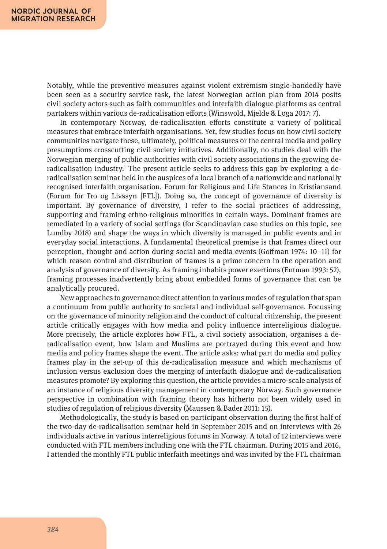Notably, while the preventive measures against violent extremism single-handedly have been seen as a security service task, the latest Norwegian action plan from 2014 posits civil society actors such as faith communities and interfaith dialogue platforms as central partakers within various de-radicalisation efforts (Winswold, Mjelde & Loga 2017: 7).

In contemporary Norway, de-radicalisation efforts constitute a variety of political measures that embrace interfaith organisations. Yet, few studies focus on how civil society communities navigate these, ultimately, political measures or the central media and policy presumptions crosscutting civil society initiatives. Additionally, no studies deal with the Norwegian merging of public authorities with civil society associations in the growing deradicalisation industry.<sup>1</sup> The present article seeks to address this gap by exploring a deradicalisation seminar held in the auspices of a local branch of a nationwide and nationally recognised interfaith organisation, Forum for Religious and Life Stances in Kristiansand (Forum for Tro og Livssyn [FTL]). Doing so, the concept of governance of diversity is important. By governance of diversity, I refer to the social practices of addressing, supporting and framing ethno-religious minorities in certain ways. Dominant frames are remediated in a variety of social settings (for Scandinavian case studies on this topic, see Lundby 2018) and shape the ways in which diversity is managed in public events and in everyday social interactions. A fundamental theoretical premise is that frames direct our perception, thought and action during social and media events (Goffman 1974: 10–11) for which reason control and distribution of frames is a prime concern in the operation and analysis of governance of diversity. As framing inhabits power exertions (Entman 1993: 52), framing processes inadvertently bring about embedded forms of governance that can be analytically procured.

New approaches to governance direct attention to various modes of regulation that span a continuum from public authority to societal and individual self-governance. Focussing on the governance of minority religion and the conduct of cultural citizenship, the present article critically engages with how media and policy influence interreligious dialogue. More precisely, the article explores how FTL, a civil society association, organises a deradicalisation event, how Islam and Muslims are portrayed during this event and how media and policy frames shape the event. The article asks: what part do media and policy frames play in the set-up of this de-radicalisation measure and which mechanisms of inclusion versus exclusion does the merging of interfaith dialogue and de-radicalisation measures promote? By exploring this question, the article provides a micro-scale analysis of an instance of religious diversity management in contemporary Norway. Such governance perspective in combination with framing theory has hitherto not been widely used in studies of regulation of religious diversity (Maussen & Bader 2011: 15).

Methodologically, the study is based on participant observation during the first half of the two-day de-radicalisation seminar held in September 2015 and on interviews with 26 individuals active in various interreligious forums in Norway. A total of 12 interviews were conducted with FTL members including one with the FTL chairman. During 2015 and 2016, I attended the monthly FTL public interfaith meetings and was invited by the FTL chairman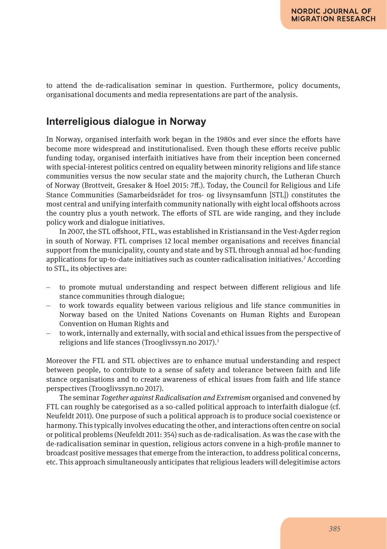to attend the de-radicalisation seminar in question. Furthermore, policy documents, organisational documents and media representations are part of the analysis.

# **Interreligious dialogue in Norway**

In Norway, organised interfaith work began in the 1980s and ever since the efforts have become more widespread and institutionalised. Even though these efforts receive public funding today, organised interfaith initiatives have from their inception been concerned with special-interest politics centred on equality between minority religions and life stance communities versus the now secular state and the majority church, the Lutheran Church of Norway (Brottveit, Gresaker & Hoel 2015: 7ff.). Today, the Council for Religious and Life Stance Communities (Samarbeidsrådet for tros- og livsynsamfunn [STL]) constitutes the most central and unifying interfaith community nationally with eight local offshoots across the country plus a youth network. The efforts of STL are wide ranging, and they include policy work and dialogue initiatives.

In 2007, the STL offshoot, FTL, was established in Kristiansand in the Vest-Agder region in south of Norway. FTL comprises 12 local member organisations and receives financial support from the municipality, county and state and by STL through annual ad hoc-funding applications for up-to-date initiatives such as counter-radicalisation initiatives. $^2$  According to STL, its objectives are:

- to promote mutual understanding and respect between different religious and life stance communities through dialogue;
- to work towards equality between various religious and life stance communities in Norway based on the United Nations Covenants on Human Rights and European Convention on Human Rights and
- to work, internally and externally, with social and ethical issues from the perspective of religions and life stances (Trooglivssyn.no 2017).<sup>3</sup>

Moreover the FTL and STL objectives are to enhance mutual understanding and respect between people, to contribute to a sense of safety and tolerance between faith and life stance organisations and to create awareness of ethical issues from faith and life stance perspectives (Trooglivssyn.no 2017).

The seminar *Together against Radicalisation and Extremism* organised and convened by FTL can roughly be categorised as a so-called political approach to interfaith dialogue (cf. Neufeldt 2011). One purpose of such a political approach is to produce social coexistence or harmony. This typically involves educating the other, and interactions often centre on social or political problems (Neufeldt 2011: 354) such as de-radicalisation. As was the case with the de-radicalisation seminar in question, religious actors convene in a high-profile manner to broadcast positive messages that emerge from the interaction, to address political concerns, etc. This approach simultaneously anticipates that religious leaders will delegitimise actors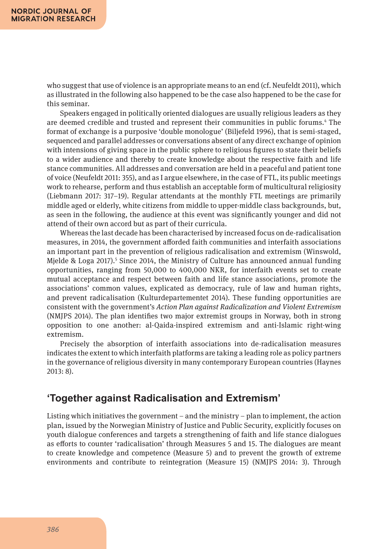who suggest that use of violence is an appropriate means to an end (cf. Neufeldt 2011), which as illustrated in the following also happened to be the case also happened to be the case for this seminar.

Speakers engaged in politically oriented dialogues are usually religious leaders as they are deemed credible and trusted and represent their communities in public forums.4 The format of exchange is a purposive 'double monologue' (Biljefeld 1996), that is semi-staged, sequenced and parallel addresses or conversations absent of any direct exchange of opinion with intensions of giving space in the public sphere to religious figures to state their beliefs to a wider audience and thereby to create knowledge about the respective faith and life stance communities. All addresses and conversation are held in a peaceful and patient tone of voice (Neufeldt 2011: 355), and as I argue elsewhere, in the case of FTL, its public meetings work to rehearse, perform and thus establish an acceptable form of multicultural religiosity (Liebmann 2017: 317–19). Regular attendants at the monthly FTL meetings are primarily middle aged or elderly, white citizens from middle to upper-middle class backgrounds, but, as seen in the following, the audience at this event was significantly younger and did not attend of their own accord but as part of their curricula.

Whereas the last decade has been characterised by increased focus on de-radicalisation measures, in 2014, the government afforded faith communities and interfaith associations an important part in the prevention of religious radicalisation and extremism (Winswold, Mjelde & Loga 2017).<sup>5</sup> Since 2014, the Ministry of Culture has announced annual funding opportunities, ranging from 50,000 to 400,000 NKR, for interfaith events set to create mutual acceptance and respect between faith and life stance associations, promote the associations' common values, explicated as democracy, rule of law and human rights, and prevent radicalisation (Kulturdepartementet 2014). These funding opportunities are consistent with the government's *Action Plan against Radicalization and Violent Extremism* (NMJPS 2014). The plan identifies two major extremist groups in Norway, both in strong opposition to one another: al-Qaida-inspired extremism and anti-Islamic right-wing extremism.

Precisely the absorption of interfaith associations into de-radicalisation measures indicates the extent to which interfaith platforms are taking a leading role as policy partners in the governance of religious diversity in many contemporary European countries (Haynes 2013: 8).

# **'Together against Radicalisation and Extremism'**

Listing which initiatives the government – and the ministry – plan to implement, the action plan, issued by the Norwegian Ministry of Justice and Public Security, explicitly focuses on youth dialogue conferences and targets a strengthening of faith and life stance dialogues as efforts to counter 'radicalisation' through Measures 5 and 15. The dialogues are meant to create knowledge and competence (Measure 5) and to prevent the growth of extreme environments and contribute to reintegration (Measure 15) (NMJPS 2014: 3). Through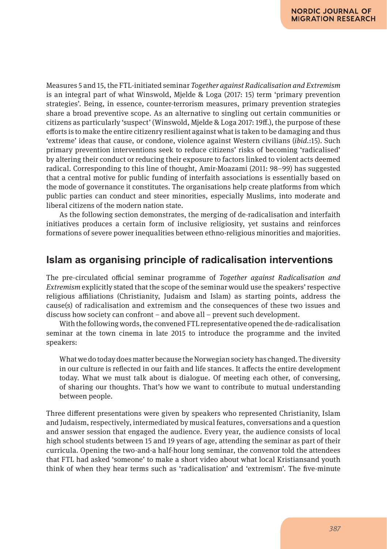Measures 5 and 15, the FTL-initiated seminar *Together against Radicalisation and Extremism* is an integral part of what Winswold, Mjelde & Loga (2017: 15) term 'primary prevention strategies'. Being, in essence, counter-terrorism measures, primary prevention strategies share a broad preventive scope. As an alternative to singling out certain communities or citizens as particularly 'suspect' (Winswold, Mjelde & Loga 2017: 19ff.), the purpose of these efforts is to make the entire citizenry resilient against what is taken to be damaging and thus 'extreme' ideas that cause, or condone, violence against Western civilians (*ibid.*:15). Such primary prevention interventions seek to reduce citizens' risks of becoming 'radicalised' by altering their conduct or reducing their exposure to factors linked to violent acts deemed radical. Corresponding to this line of thought, Amir-Moazami (2011: 98–99) has suggested that a central motive for public funding of interfaith associations is essentially based on the mode of governance it constitutes. The organisations help create platforms from which public parties can conduct and steer minorities, especially Muslims, into moderate and liberal citizens of the modern nation state.

As the following section demonstrates, the merging of de-radicalisation and interfaith initiatives produces a certain form of inclusive religiosity, yet sustains and reinforces formations of severe power inequalities between ethno-religious minorities and majorities.

## **Islam as organising principle of radicalisation interventions**

The pre-circulated official seminar programme of *Together against Radicalisation and Extremism* explicitly stated that the scope of the seminar would use the speakers' respective religious affiliations (Christianity, Judaism and Islam) as starting points, address the cause(s) of radicalisation and extremism and the consequences of these two issues and discuss how society can confront – and above all – prevent such development.

With the following words, the convened FTL representative opened the de-radicalisation seminar at the town cinema in late 2015 to introduce the programme and the invited speakers:

What we do today does matter because the Norwegian society has changed. The diversity in our culture is reflected in our faith and life stances. It affects the entire development today. What we must talk about is dialogue. Of meeting each other, of conversing, of sharing our thoughts. That's how we want to contribute to mutual understanding between people.

Three different presentations were given by speakers who represented Christianity, Islam and Judaism, respectively, intermediated by musical features, conversations and a question and answer session that engaged the audience. Every year, the audience consists of local high school students between 15 and 19 years of age, attending the seminar as part of their curricula. Opening the two-and-a half-hour long seminar, the convenor told the attendees that FTL had asked 'someone' to make a short video about what local Kristiansand youth think of when they hear terms such as 'radicalisation' and 'extremism'. The five-minute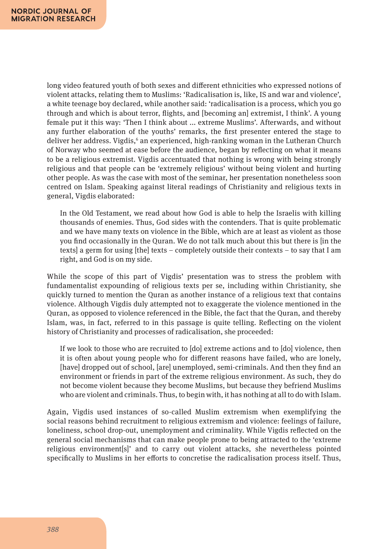long video featured youth of both sexes and different ethnicities who expressed notions of violent attacks, relating them to Muslims: 'Radicalisation is, like, IS and war and violence', a white teenage boy declared, while another said: 'radicalisation is a process, which you go through and which is about terror, flights, and [becoming an] extremist, I think'. A young female put it this way: 'Then I think about ... extreme Muslims'. Afterwards, and without any further elaboration of the youths' remarks, the first presenter entered the stage to deliver her address. Vigdis,' an experienced, high-ranking woman in the Lutheran Church of Norway who seemed at ease before the audience, began by reflecting on what it means to be a religious extremist. Vigdis accentuated that nothing is wrong with being strongly religious and that people can be 'extremely religious' without being violent and hurting other people. As was the case with most of the seminar, her presentation nonetheless soon centred on Islam. Speaking against literal readings of Christianity and religious texts in general, Vigdis elaborated:

In the Old Testament, we read about how God is able to help the Israelis with killing thousands of enemies. Thus, God sides with the contenders. That is quite problematic and we have many texts on violence in the Bible, which are at least as violent as those you find occasionally in the Quran. We do not talk much about this but there is [in the texts] a germ for using [the] texts – completely outside their contexts – to say that I am right, and God is on my side.

While the scope of this part of Vigdis' presentation was to stress the problem with fundamentalist expounding of religious texts per se, including within Christianity, she quickly turned to mention the Quran as another instance of a religious text that contains violence. Although Vigdis duly attempted not to exaggerate the violence mentioned in the Quran, as opposed to violence referenced in the Bible, the fact that the Quran, and thereby Islam, was, in fact, referred to in this passage is quite telling. Reflecting on the violent history of Christianity and processes of radicalisation, she proceeded:

If we look to those who are recruited to [do] extreme actions and to [do] violence, then it is often about young people who for different reasons have failed, who are lonely, [have] dropped out of school, [are] unemployed, semi-criminals. And then they find an environment or friends in part of the extreme religious environment. As such, they do not become violent because they become Muslims, but because they befriend Muslims who are violent and criminals. Thus, to begin with, it has nothing at all to do with Islam.

Again, Vigdis used instances of so-called Muslim extremism when exemplifying the social reasons behind recruitment to religious extremism and violence: feelings of failure, loneliness, school drop-out, unemployment and criminality. While Vigdis reflected on the general social mechanisms that can make people prone to being attracted to the 'extreme religious environment[s]' and to carry out violent attacks, she nevertheless pointed specifically to Muslims in her efforts to concretise the radicalisation process itself. Thus,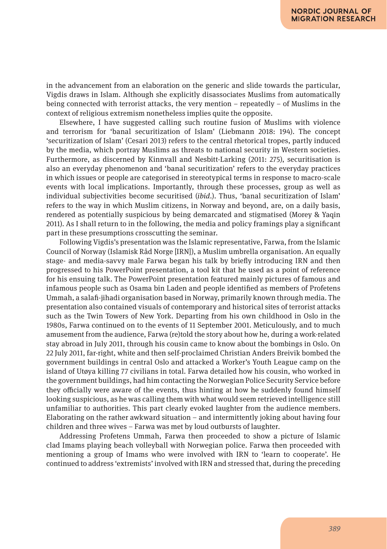in the advancement from an elaboration on the generic and slide towards the particular, Vigdis draws in Islam. Although she explicitly disassociates Muslims from automatically being connected with terrorist attacks, the very mention − repeatedly − of Muslims in the context of religious extremism nonetheless implies quite the opposite.

Elsewhere, I have suggested calling such routine fusion of Muslims with violence and terrorism for 'banal securitization of Islam' (Liebmann 2018: 194). The concept 'securitization of Islam' (Cesari 2013) refers to the central rhetorical tropes, partly induced by the media, which portray Muslims as threats to national security in Western societies. Furthermore, as discerned by Kinnvall and Nesbitt-Larking (2011: 275), securitisation is also an everyday phenomenon and 'banal securitization' refers to the everyday practices in which issues or people are categorised in stereotypical terms in response to macro-scale events with local implications. Importantly, through these processes, group as well as individual subjectivities become securitised (*ibid.*). Thus, 'banal securitization of Islam' refers to the way in which Muslim citizens, in Norway and beyond, are, on a daily basis, rendered as potentially suspicious by being demarcated and stigmatised (Morey & Yaqin 2011). As I shall return to in the following, the media and policy framings play a significant part in these presumptions crosscutting the seminar.

Following Vigdis's presentation was the Islamic representative, Farwa, from the Islamic Council of Norway (Islamisk Råd Norge [IRN]), a Muslim umbrella organisation. An equally stage- and media-savvy male Farwa began his talk by briefly introducing IRN and then progressed to his PowerPoint presentation, a tool kit that he used as a point of reference for his ensuing talk. The PowerPoint presentation featured mainly pictures of famous and infamous people such as Osama bin Laden and people identified as members of Profetens Ummah, a salafi-jihadi organisation based in Norway, primarily known through media. The presentation also contained visuals of contemporary and historical sites of terrorist attacks such as the Twin Towers of New York. Departing from his own childhood in Oslo in the 1980s, Farwa continued on to the events of 11 September 2001. Meticulously, and to much amusement from the audience, Farwa (re)told the story about how he, during a work-related stay abroad in July 2011, through his cousin came to know about the bombings in Oslo. On 22 July 2011, far-right, white and then self-proclaimed Christian Anders Breivik bombed the government buildings in central Oslo and attacked a Worker's Youth League camp on the island of Utøya killing 77 civilians in total. Farwa detailed how his cousin, who worked in the government buildings, had him contacting the Norwegian Police Security Service before they officially were aware of the events, thus hinting at how he suddenly found himself looking suspicious, as he was calling them with what would seem retrieved intelligence still unfamiliar to authorities. This part clearly evoked laughter from the audience members. Elaborating on the rather awkward situation – and intermittently joking about having four children and three wives – Farwa was met by loud outbursts of laughter.

Addressing Profetens Ummah, Farwa then proceeded to show a picture of Islamic clad Imams playing beach volleyball with Norwegian police. Farwa then proceeded with mentioning a group of Imams who were involved with IRN to 'learn to cooperate'. He continued to address 'extremists' involved with IRN and stressed that, during the preceding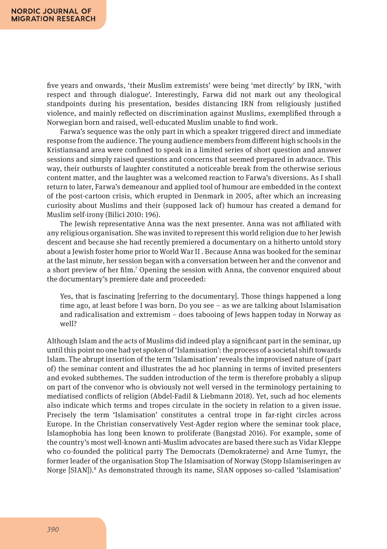five years and onwards, 'their Muslim extremists' were being 'met directly' by IRN, 'with respect and through dialogue'. Interestingly, Farwa did not mark out any theological standpoints during his presentation, besides distancing IRN from religiously justified violence, and mainly reflected on discrimination against Muslims, exemplified through a Norwegian born and raised, well-educated Muslim unable to find work.

Farwa's sequence was the only part in which a speaker triggered direct and immediate response from the audience. The young audience members from different high schools in the Kristiansand area were confined to speak in a limited series of short question and answer sessions and simply raised questions and concerns that seemed prepared in advance. This way, their outbursts of laughter constituted a noticeable break from the otherwise serious content matter, and the laughter was a welcomed reaction to Farwa's diversions. As I shall return to later, Farwa's demeanour and applied tool of humour are embedded in the context of the post-cartoon crisis, which erupted in Denmark in 2005, after which an increasing curiosity about Muslims and their (supposed lack of) humour has created a demand for Muslim self-irony (Bilici 2010: 196).

The Jewish representative Anna was the next presenter. Anna was not affiliated with any religious organisation. She was invited to represent this world religion due to her Jewish descent and because she had recently premiered a documentary on a hitherto untold story about a Jewish foster home prior to World War II . Because Anna was booked for the seminar at the last minute, her session began with a conversation between her and the convenor and a short preview of her film.7 Opening the session with Anna, the convenor enquired about the documentary's premiere date and proceeded:

Yes, that is fascinating [referring to the documentary]. Those things happened a long time ago, at least before I was born. Do you see – as we are talking about Islamisation and radicalisation and extremism – does tabooing of Jews happen today in Norway as well?

Although Islam and the acts of Muslims did indeed play a significant part in the seminar, up until this point no one had yet spoken of 'Islamisation': the process of a societal shift towards Islam. The abrupt insertion of the term 'Islamisation' reveals the improvised nature of (part of) the seminar content and illustrates the ad hoc planning in terms of invited presenters and evoked subthemes. The sudden introduction of the term is therefore probably a slipup on part of the convenor who is obviously not well versed in the terminology pertaining to mediatised conflicts of religion (Abdel-Fadil & Liebmann 2018). Yet, such ad hoc elements also indicate which terms and tropes circulate in the society in relation to a given issue. Precisely the term 'Islamisation' constitutes a central trope in far-right circles across Europe. In the Christian conservatively Vest-Agder region where the seminar took place, Islamophobia has long been known to proliferate (Bangstad 2016). For example, some of the country's most well-known anti-Muslim advocates are based there such as Vidar Kleppe who co-founded the political party The Democrats (Demokraterne) and Arne Tumyr, the former leader of the organisation Stop The Islamisation of Norway (Stopp Islamiseringen av Norge [SIAN]).<sup>8</sup> As demonstrated through its name, SIAN opposes so-called 'Islamisation'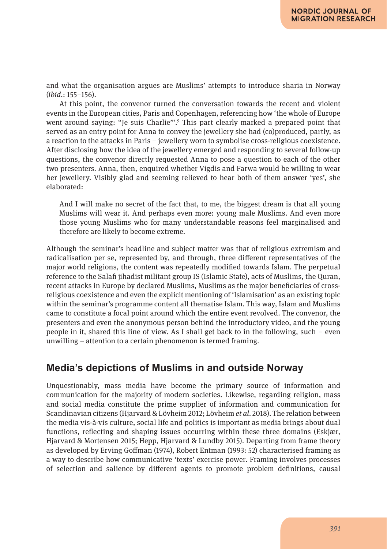and what the organisation argues are Muslims' attempts to introduce sharia in Norway (*ibid.*: 155–156).

At this point, the convenor turned the conversation towards the recent and violent events in the European cities, Paris and Copenhagen, referencing how 'the whole of Europe went around saying: "Je suis Charlie"'.9 This part clearly marked a prepared point that served as an entry point for Anna to convey the jewellery she had (co)produced, partly, as a reaction to the attacks in Paris – jewellery worn to symbolise cross-religious coexistence. After disclosing how the idea of the jewellery emerged and responding to several follow-up questions, the convenor directly requested Anna to pose a question to each of the other two presenters. Anna, then, enquired whether Vigdis and Farwa would be willing to wear her jewellery. Visibly glad and seeming relieved to hear both of them answer 'yes', she elaborated:

And I will make no secret of the fact that, to me, the biggest dream is that all young Muslims will wear it. And perhaps even more: young male Muslims. And even more those young Muslims who for many understandable reasons feel marginalised and therefore are likely to become extreme.

Although the seminar's headline and subject matter was that of religious extremism and radicalisation per se, represented by, and through, three different representatives of the major world religions, the content was repeatedly modified towards Islam. The perpetual reference to the Salafi jihadist militant group IS (Islamic State), acts of Muslims, the Quran, recent attacks in Europe by declared Muslims, Muslims as the major beneficiaries of crossreligious coexistence and even the explicit mentioning of 'Islamisation' as an existing topic within the seminar's programme content all thematise Islam. This way, Islam and Muslims came to constitute a focal point around which the entire event revolved. The convenor, the presenters and even the anonymous person behind the introductory video, and the young people in it, shared this line of view. As I shall get back to in the following, such – even unwilling – attention to a certain phenomenon is termed framing.

## **Media's depictions of Muslims in and outside Norway**

Unquestionably, mass media have become the primary source of information and communication for the majority of modern societies. Likewise, regarding religion, mass and social media constitute the prime supplier of information and communication for Scandinavian citizens (Hjarvard & Lövheim 2012; Lövheim *et al*. 2018). The relation between the media vis-à-vis culture, social life and politics is important as media brings about dual functions, reflecting and shaping issues occurring within these three domains (Eskjær, Hjarvard & Mortensen 2015; Hepp, Hjarvard & Lundby 2015). Departing from frame theory as developed by Erving Goffman (1974), Robert Entman (1993: 52) characterised framing as a way to describe how communicative 'texts' exercise power. Framing involves processes of selection and salience by different agents to promote problem definitions, causal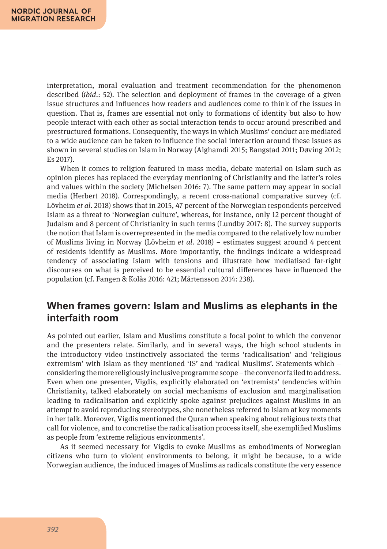interpretation, moral evaluation and treatment recommendation for the phenomenon described (*ibid*.: 52). The selection and deployment of frames in the coverage of a given issue structures and influences how readers and audiences come to think of the issues in question. That is, frames are essential not only to formations of identity but also to how people interact with each other as social interaction tends to occur around prescribed and prestructured formations. Consequently, the ways in which Muslims' conduct are mediated to a wide audience can be taken to influence the social interaction around these issues as shown in several studies on Islam in Norway (Alghamdi 2015; Bangstad 2011; Døving 2012; Es 2017).

When it comes to religion featured in mass media, debate material on Islam such as opinion pieces has replaced the everyday mentioning of Christianity and the latter's roles and values within the society (Michelsen 2016: 7). The same pattern may appear in social media (Herbert 2018). Correspondingly, a recent cross-national comparative survey (cf. Lövheim *et al*. 2018) shows that in 2015, 47 percent of the Norwegian respondents perceived Islam as a threat to 'Norwegian culture', whereas, for instance, only 12 percent thought of Judaism and 8 percent of Christianity in such terms (Lundby 2017: 8). The survey supports the notion that Islam is overrepresented in the media compared to the relatively low number of Muslims living in Norway (Lövheim *et al*. 2018) − estimates suggest around 4 percent of residents identify as Muslims. More importantly, the findings indicate a widespread tendency of associating Islam with tensions and illustrate how mediatised far-right discourses on what is perceived to be essential cultural differences have influenced the population (cf. Fangen & Kolås 2016: 421; Mårtensson 2014: 238).

# **When frames govern: Islam and Muslims as elephants in the interfaith room**

As pointed out earlier, Islam and Muslims constitute a focal point to which the convenor and the presenters relate. Similarly, and in several ways, the high school students in the introductory video instinctively associated the terms 'radicalisation' and 'religious extremism' with Islam as they mentioned 'IS' and 'radical Muslims'. Statements which − considering the more religiously inclusive programme scope − the convenor failed to address. Even when one presenter, Vigdis, explicitly elaborated on 'extremists' tendencies within Christianity, talked elaborately on social mechanisms of exclusion and marginalisation leading to radicalisation and explicitly spoke against prejudices against Muslims in an attempt to avoid reproducing stereotypes, she nonetheless referred to Islam at key moments in her talk. Moreover, Vigdis mentioned the Quran when speaking about religious texts that call for violence, and to concretise the radicalisation process itself, she exemplified Muslims as people from 'extreme religious environments'.

As it seemed necessary for Vigdis to evoke Muslims as embodiments of Norwegian citizens who turn to violent environments to belong, it might be because, to a wide Norwegian audience, the induced images of Muslims as radicals constitute the very essence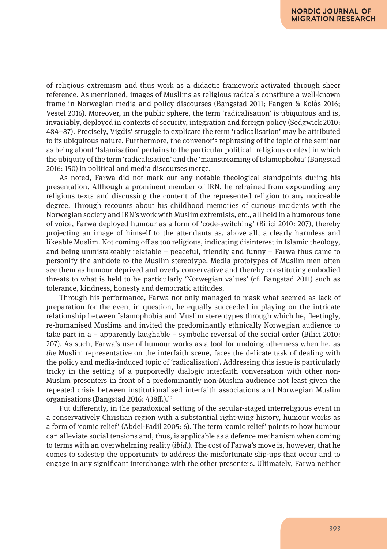of religious extremism and thus work as a didactic framework activated through sheer reference. As mentioned, images of Muslims as religious radicals constitute a well-known frame in Norwegian media and policy discourses (Bangstad 2011; Fangen & Kolås 2016; Vestel 2016). Moreover, in the public sphere, the term 'radicalisation' is ubiquitous and is, invariably, deployed in contexts of security, integration and foreign policy (Sedgwick 2010: 484–87). Precisely, Vigdis' struggle to explicate the term 'radicalisation' may be attributed to its ubiquitous nature. Furthermore, the convenor's rephrasing of the topic of the seminar as being about 'Islamisation' pertains to the particular political–religious context in which the ubiquity of the term 'radicalisation' and the 'mainstreaming of Islamophobia' (Bangstad 2016: 150) in political and media discourses merge.

As noted, Farwa did not mark out any notable theological standpoints during his presentation. Although a prominent member of IRN, he refrained from expounding any religious texts and discussing the content of the represented religion to any noticeable degree. Through recounts about his childhood memories of curious incidents with the Norwegian society and IRN's work with Muslim extremists, etc., all held in a humorous tone of voice, Farwa deployed humour as a form of 'code-switching' (Bilici 2010: 207), thereby projecting an image of himself to the attendants as, above all, a clearly harmless and likeable Muslim. Not coming off as too religious, indicating disinterest in Islamic theology, and being unmistakeably relatable – peaceful, friendly and funny – Farwa thus came to personify the antidote to the Muslim stereotype. Media prototypes of Muslim men often see them as humour deprived and overly conservative and thereby constituting embodied threats to what is held to be particularly 'Norwegian values' (cf. Bangstad 2011) such as tolerance, kindness, honesty and democratic attitudes.

Through his performance, Farwa not only managed to mask what seemed as lack of preparation for the event in question, he equally succeeded in playing on the intricate relationship between Islamophobia and Muslim stereotypes through which he, fleetingly, re-humanised Muslims and invited the predominantly ethnically Norwegian audience to take part in a – apparently laughable – symbolic reversal of the social order (Bilici 2010: 207). As such, Farwa's use of humour works as a tool for undoing otherness when he, as *the* Muslim representative on the interfaith scene, faces the delicate task of dealing with the policy and media-induced topic of 'radicalisation'. Addressing this issue is particularly tricky in the setting of a purportedly dialogic interfaith conversation with other non-Muslim presenters in front of a predominantly non-Muslim audience not least given the repeated crisis between institutionalised interfaith associations and Norwegian Muslim organisations (Bangstad 2016: 438ff.).10

Put differently, in the paradoxical setting of the secular-staged interreligious event in a conservatively Christian region with a substantial right-wing history, humour works as a form of 'comic relief' (Abdel-Fadil 2005: 6). The term 'comic relief' points to how humour can alleviate social tensions and, thus, is applicable as a defence mechanism when coming to terms with an overwhelming reality (*ibid.*). The cost of Farwa's move is, however, that he comes to sidestep the opportunity to address the misfortunate slip-ups that occur and to engage in any significant interchange with the other presenters. Ultimately, Farwa neither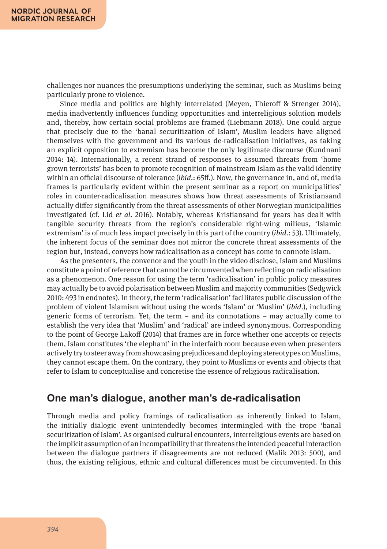challenges nor nuances the presumptions underlying the seminar, such as Muslims being particularly prone to violence.

Since media and politics are highly interrelated (Meyen, Thieroff & Strenger 2014), media inadvertently influences funding opportunities and interreligious solution models and, thereby, how certain social problems are framed (Liebmann 2018). One could argue that precisely due to the 'banal securitization of Islam', Muslim leaders have aligned themselves with the government and its various de-radicalisation initiatives, as taking an explicit opposition to extremism has become the only legitimate discourse (Kundnani 2014: 14). Internationally, a recent strand of responses to assumed threats from 'home grown terrorists' has been to promote recognition of mainstream Islam as the valid identity within an official discourse of tolerance (*ibid.*: 65ff.). Now, the governance in, and of, media frames is particularly evident within the present seminar as a report on municipalities' roles in counter-radicalisation measures shows how threat assessments of Kristiansand actually differ significantly from the threat assessments of other Norwegian municipalities investigated (cf. Lid *et al*. 2016). Notably, whereas Kristiansand for years has dealt with tangible security threats from the region's considerable right-wing milieus, 'Islamic extremism' is of much less impact precisely in this part of the country (*ibid.*: 53). Ultimately, the inherent focus of the seminar does not mirror the concrete threat assessments of the region but, instead, conveys how radicalisation as a concept has come to connote Islam.

As the presenters, the convenor and the youth in the video disclose, Islam and Muslims constitute a point of reference that cannot be circumvented when reflecting on radicalisation as a phenomenon. One reason for using the term 'radicalisation' in public policy measures may actually be to avoid polarisation between Muslim and majority communities (Sedgwick 2010: 493 in endnotes). In theory, the term 'radicalisation' facilitates public discussion of the problem of violent Islamism without using the words 'Islam' or 'Muslim' (*ibid.*), including generic forms of terrorism. Yet, the term  $-$  and its connotations  $-$  may actually come to establish the very idea that 'Muslim' and 'radical' are indeed synonymous. Corresponding to the point of George Lakoff (2014) that frames are in force whether one accepts or rejects them, Islam constitutes 'the elephant' in the interfaith room because even when presenters actively try to steer away from showcasing prejudices and deploying stereotypes on Muslims, they cannot escape them. On the contrary, they point to Muslims or events and objects that refer to Islam to conceptualise and concretise the essence of religious radicalisation.

## **One man's dialogue, another man's de-radicalisation**

Through media and policy framings of radicalisation as inherently linked to Islam, the initially dialogic event unintendedly becomes intermingled with the trope 'banal securitization of Islam'. As organised cultural encounters, interreligious events are based on the implicit assumption of an incompatibility that threatens the intended peaceful interaction between the dialogue partners if disagreements are not reduced (Malik 2013: 500), and thus, the existing religious, ethnic and cultural differences must be circumvented. In this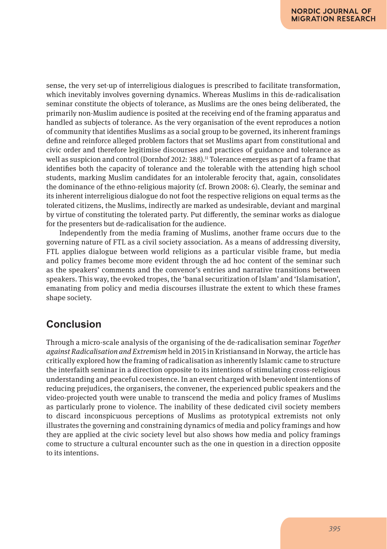sense, the very set-up of interreligious dialogues is prescribed to facilitate transformation, which inevitably involves governing dynamics. Whereas Muslims in this de-radicalisation seminar constitute the objects of tolerance, as Muslims are the ones being deliberated*,* the primarily non-Muslim audience is posited at the receiving end of the framing apparatus and handled as subjects of tolerance*.* As the very organisation of the event reproduces a notion of community that identifies Muslims as a social group to be governed, its inherent framings define and reinforce alleged problem factors that set Muslims apart from constitutional and civic order and therefore legitimise discourses and practices of guidance and tolerance as well as suspicion and control (Dornhof 2012: 388).<sup>11</sup> Tolerance emerges as part of a frame that identifies both the capacity of tolerance and the tolerable with the attending high school students, marking Muslim candidates for an intolerable ferocity that, again, consolidates the dominance of the ethno-religious majority (cf. Brown 2008: 6). Clearly, the seminar and its inherent interreligious dialogue do not foot the respective religions on equal terms as the tolerated citizens, the Muslims, indirectly are marked as undesirable, deviant and marginal by virtue of constituting the tolerated party. Put differently, the seminar works as dialogue for the presenters but de-radicalisation for the audience.

Independently from the media framing of Muslims, another frame occurs due to the governing nature of FTL as a civil society association. As a means of addressing diversity, FTL applies dialogue between world religions as a particular visible frame, but media and policy frames become more evident through the ad hoc content of the seminar such as the speakers' comments and the convenor's entries and narrative transitions between speakers. This way, the evoked tropes, the 'banal securitization of Islam' and 'Islamisation', emanating from policy and media discourses illustrate the extent to which these frames shape society.

# **Conclusion**

Through a micro-scale analysis of the organising of the de-radicalisation seminar *Together against Radicalisation and Extremism* held in 2015 in Kristiansand in Norway, the article has critically explored how the framing of radicalisation as inherently Islamic came to structure the interfaith seminar in a direction opposite to its intentions of stimulating cross-religious understanding and peaceful coexistence. In an event charged with benevolent intentions of reducing prejudices, the organisers, the convener, the experienced public speakers and the video-projected youth were unable to transcend the media and policy frames of Muslims as particularly prone to violence. The inability of these dedicated civil society members to discard inconspicuous perceptions of Muslims as prototypical extremists not only illustrates the governing and constraining dynamics of media and policy framings and how they are applied at the civic society level but also shows how media and policy framings come to structure a cultural encounter such as the one in question in a direction opposite to its intentions.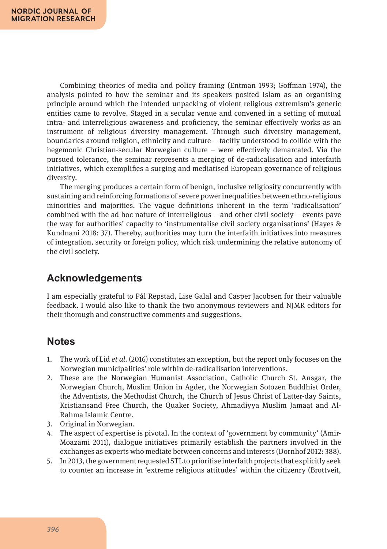Combining theories of media and policy framing (Entman 1993; Goffman 1974), the analysis pointed to how the seminar and its speakers posited Islam as an organising principle around which the intended unpacking of violent religious extremism's generic entities came to revolve. Staged in a secular venue and convened in a setting of mutual intra- and interreligious awareness and proficiency, the seminar effectively works as an instrument of religious diversity management. Through such diversity management, boundaries around religion, ethnicity and culture – tacitly understood to collide with the hegemonic Christian-secular Norwegian culture – were effectively demarcated. Via the pursued tolerance, the seminar represents a merging of de-radicalisation and interfaith initiatives, which exemplifies a surging and mediatised European governance of religious diversity.

The merging produces a certain form of benign, inclusive religiosity concurrently with sustaining and reinforcing formations of severe power inequalities between ethno-religious minorities and majorities. The vague definitions inherent in the term 'radicalisation' combined with the ad hoc nature of interreligious – and other civil society – events pave the way for authorities' capacity to 'instrumentalise civil society organisations' (Hayes & Kundnani 2018: 37). Thereby, authorities may turn the interfaith initiatives into measures of integration, security or foreign policy, which risk undermining the relative autonomy of the civil society.

# **Acknowledgements**

I am especially grateful to Pål Repstad, Lise Galal and Casper Jacobsen for their valuable feedback. I would also like to thank the two anonymous reviewers and NJMR editors for their thorough and constructive comments and suggestions.

# **Notes**

- 1. The work of Lid *et al*. (2016) constitutes an exception, but the report only focuses on the Norwegian municipalities' role within de-radicalisation interventions.
- 2. These are the Norwegian Humanist Association, Catholic Church St. Ansgar, the Norwegian Church, Muslim Union in Agder, the Norwegian Sotozen Buddhist Order, the Adventists, the Methodist Church, the Church of Jesus Christ of Latter-day Saints, Kristiansand Free Church, the Quaker Society, Ahmadiyya Muslim Jamaat and Al-Rahma Islamic Centre.
- 3. Original in Norwegian.
- 4. The aspect of expertise is pivotal. In the context of 'government by community' (Amir-Moazami 2011), dialogue initiatives primarily establish the partners involved in the exchanges as experts who mediate between concerns and interests (Dornhof 2012: 388).
- 5. In 2013, the government requested STL to prioritise interfaith projects that explicitly seek to counter an increase in 'extreme religious attitudes' within the citizenry (Brottveit,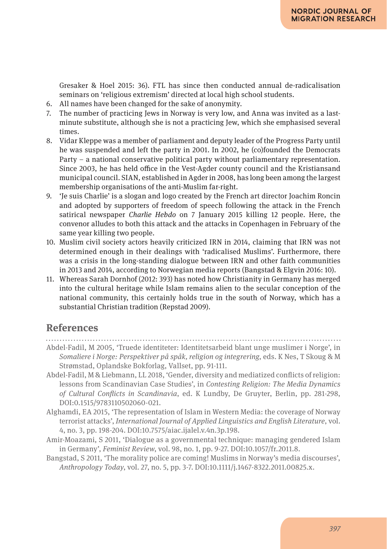Gresaker & Hoel 2015: 36). FTL has since then conducted annual de-radicalisation seminars on 'religious extremism' directed at local high school students.

- 6. All names have been changed for the sake of anonymity.
- 7. The number of practicing Jews in Norway is very low, and Anna was invited as a lastminute substitute, although she is not a practicing Jew, which she emphasised several times.
- 8. Vidar Kleppe was a member of parliament and deputy leader of the Progress Party until he was suspended and left the party in 2001. In 2002, he (co)founded the Democrats Party – a national conservative political party without parliamentary representation. Since 2003, he has held office in the Vest-Agder county council and the Kristiansand municipal council. SIAN, established in Agder in 2008, has long been among the largest membership organisations of the anti-Muslim far-right.
- 9. 'Je suis Charlie' is a slogan and logo created by the French art director Joachim Roncin and adopted by supporters of freedom of speech following the attack in the French satirical newspaper *Charlie Hebdo* on 7 January 2015 killing 12 people. Here, the convenor alludes to both this attack and the attacks in Copenhagen in February of the same year killing two people.
- 10. Muslim civil society actors heavily criticized IRN in 2014, claiming that IRN was not determined enough in their dealings with 'radicalised Muslims'. Furthermore, there was a crisis in the long-standing dialogue between IRN and other faith communities in 2013 and 2014, according to Norwegian media reports (Bangstad & Elgvin 2016: 10).
- 11. Whereas Sarah Dornhof (2012: 393) has noted how Christianity in Germany has merged into the cultural heritage while Islam remains alien to the secular conception of the national community, this certainly holds true in the south of Norway, which has a substantial Christian tradition (Repstad 2009).

# **References**

- Abdel-Fadil, M 2005, 'Truede identiteter: Identitetsarbeid blant unge muslimer i Norge', in *Somaliere i Norge: Perspektiver på spåk, religion og integrering*, eds. K Nes, T Skoug & M Strømstad, Oplandske Bokforlag, Vallset, pp. 91-111.
- Abdel-Fadil, M & Liebmann, LL 2018, 'Gender, diversity and mediatized conflicts of religion: lessons from Scandinavian Case Studies', in *Contesting Religion: The Media Dynamics of Cultural Conflicts in Scandinavia*, ed. K Lundby, De Gruyter, Berlin, pp. 281-298, DOI:0.1515/9783110502060-021.
- Alghamdi, EA 2015, 'The representation of Islam in Western Media: the coverage of Norway terrorist attacks', *International Journal of Applied Linguistics and English Literature*, vol. 4, no. 3, pp. 198-204. DOI:10.7575/aiac.ijalel.v.4n.3p.198.
- Amir-Moazami, S 2011, 'Dialogue as a governmental technique: managing gendered Islam in Germany', *Feminist Review*, vol. 98, no. 1, pp. 9-27. DOI:10.1057/fr.2011.8.
- Bangstad, S 2011, 'The morality police are coming! Muslims in Norway's media discourses', *Anthropology Today*, vol. 27, no. 5, pp. 3-7. DOI:10.1111/j.1467-8322.2011.00825.x.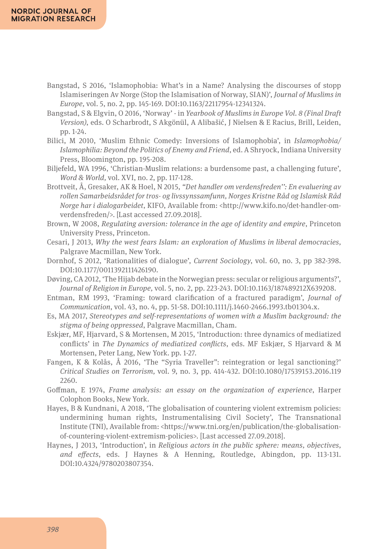- Bangstad, S 2016, 'Islamophobia: What's in a Name? Analysing the discourses of stopp Islamiseringen Av Norge (Stop the Islamisation of Norway, SIAN)', *Journal of Muslims in Europe,* vol. 5, no. 2, pp. 145-169. DOI:10.1163/22117954-12341324.
- Bangstad, S & Elgvin, O 2016, 'Norway' in *Yearbook of Muslims in Europe Vol. 8 (Final Draft Version)*, eds. O Scharbrodt, S Akgönül, A Alibašić, J Nielsen & E Racius, Brill, Leiden, pp. 1-24.
- Bilici, M 2010, 'Muslim Ethnic Comedy: Inversions of Islamophobia', in *Islamophobia/ Islamophilia: Beyond the Politics of Enemy and Friend*, ed. A Shryock, Indiana University Press, Bloomington, pp. 195-208.
- Biljefeld, WA 1996, 'Christian-Muslim relations: a burdensome past, a challenging future', *Word & World,* vol. XVI, no. 2, pp. 117-128.
- Brottveit, Å, Gresaker, AK & Hoel, N 2015, *"Det handler om verdensfreden'': En evaluering av rollen Samarbeidsrådet for tros- og livssynssamfunn, Norges Kristne Råd og Islamisk Råd Norge har i dialogarbeidet*, KIFO, Available from: <http://www.kifo.no/det-handler-omverdensfreden/>. [Last accessed 27.09.2018].
- Brown, W 2008, *Regulating aversion: tolerance in the age of identity and empire*, Princeton University Press, Princeton.
- Cesari, J 2013, *Why the west fears Islam: an exploration of Muslims in liberal democracies,*  Palgrave Macmillan, New York.
- Dornhof, S 2012, 'Rationalities of dialogue', *Current Sociology*, vol. 60, no. 3, pp 382-398. DOI:10.1177/0011392111426190.
- Døving, CA 2012, 'The Hijab debate in the Norwegian press: secular or religious arguments?', *Journal of Religion in Europe,* vol*.* 5, no. 2, pp. 223-243. DOI:10.1163/187489212X639208.
- Entman, RM 1993, 'Framing: toward clarification of a fractured paradigm', *Journal of Communication*, vol. 43, no. 4, pp. 51-58. DOI:10.1111/j.1460-2466.1993.tb01304.x.
- Es, MA 2017, *Stereotypes and self-representations of women with a Muslim background: the stigma of being oppressed*, Palgrave Macmillan, Cham.
- Eskjær, MF, Hjarvard, S & Mortensen, M 2015, 'Introduction: three dynamics of mediatized conflicts' in *The Dynamics of mediatized conflicts*, eds. MF Eskjær, S Hjarvard & M Mortensen, Peter Lang, New York. pp. 1-27.
- Fangen, K & Kolås, Å 2016, 'The "Syria Traveller": reintegration or legal sanctioning?' *Critical Studies on Terrorism,* vol. 9, no. 3, pp. 414-432. DOI:10.1080/17539153.2016.119 2260.
- Goffman, E 1974, *Frame analysis: an essay on the organization of experience*, Harper Colophon Books, New York.
- Hayes, B & Kundnani, A 2018, 'The globalisation of countering violent extremism policies: undermining human rights, Instrumentalising Civil Society', The Transnational Institute (TNI), Available from: <https://www.tni.org/en/publication/the-globalisationof-countering-violent-extremism-policies>. [Last accessed 27.09.2018].
- Haynes, J 2013, 'Introduction', in *Religious actors in the public sphere: means, objectives, and effects*, eds. J Haynes & A Henning, Routledge, Abingdon, pp. 113-131. DOI:10.4324/9780203807354.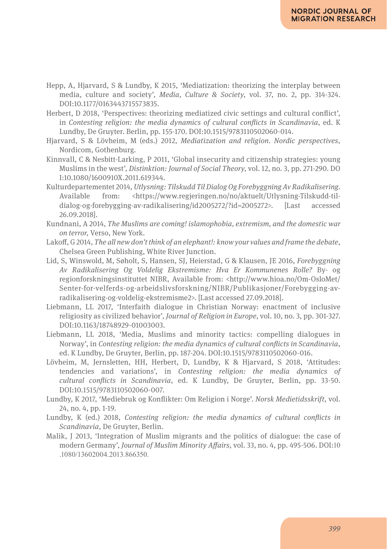- Hepp, A, Hjarvard, S & Lundby, K 2015, 'Mediatization: theorizing the interplay between media, culture and society', *Media, Culture & Society*, vol*.* 37, no. 2, pp. 314-324. DOI:10.1177/0163443715573835.
- Herbert, D 2018, 'Perspectives: theorizing mediatized civic settings and cultural conflict', in *Contesting religion: the media dynamics of cultural conflicts in Scandinavia*, ed. K Lundby, De Gruyter. Berlin, pp. 155-170. DOI:10.1515/9783110502060-014.
- Hjarvard, S & Lövheim, M (eds.) 2012, *Mediatization and religion. Nordic perspectives*, Nordicom, Gothenburg.
- Kinnvall, C & Nesbitt-Larking, P 2011, 'Global insecurity and citizenship strategies: young Muslims in the west', *Distinktion: Journal of Social Theory*, vol. 12, no. 3, pp. 271-290. DO I:10.1080/1600910X.2011.619344.
- Kulturdepartementet 2014, *Utlysning: Tilskudd Til Dialog Og Forebyggning Av Radikalisering*. Available from: <https://www.regieringen.no/no/aktuelt/Utlysning-Tilskudd-tildialog-og-forebygging-av-radikalisering/id2005272/?id=2005272>. [Last accessed 26.09.2018].
- Kundnani, A 2014, *The Muslims are coming! islamophobia, extremism, and the domestic war on terror*, Verso, New York.
- Lakoff, G 2014, *The all new don't think of an elephant!: know your values and frame the debate*, Chelsea Green Publishing, White River Junction.
- Lid, S, Winswold, M, Søholt, S, Hansen, SJ, Heierstad, G & Klausen, JE 2016, *Forebyggning Av Radikalisering Og Voldelig Ekstremisme: Hva Er Kommunenes Rolle?* By- og regionforskningsinstituttet NIBR, Available from: <http://www.hioa.no/Om-OsloMet/ Senter-for-velferds-og-arbeidslivsforskning/NIBR/Publikasjoner/Forebygging-avradikalisering-og-voldelig-ekstremisme2>. [Last accessed 27.09.2018].
- Liebmann, LL 2017, 'Interfaith dialogue in Christian Norway: enactment of inclusive religiosity as civilized behavior', *Journal of Religion in Europe,* vol. 10, no. 3, pp. 301-327. DOI:10.1163/18748929-01003003.
- Liebmann, LL 2018, 'Media, Muslims and minority tactics: compelling dialogues in Norway', in *Contesting religion: the media dynamics of cultural conflicts in Scandinavia*, ed. K Lundby, De Gruyter, Berlin, pp. 187-204. DOI:10.1515/9783110502060-016.
- Lövheim, M, Jernsletten, HH, Herbert, D, Lundby, K & Hjarvard, S 2018, 'Attitudes: tendencies and variations', in *Contesting religion: the media dynamics of cultural conflicts in Scandinavia*, ed. K Lundby, De Gruyter, Berlin, pp. 33-50. DOI:10.1515/9783110502060-007.
- Lundby, K 2017, 'Mediebruk og Konflikter: Om Religion i Norge'. *Norsk Medietidsskrift*, vol. 24, no. 4, pp. 1-19.
- Lundby, K (ed.) 2018, *Contesting religion: the media dynamics of cultural conflicts in Scandinavia*, De Gruyter, Berlin.
- Malik, J 2013, 'Integration of Muslim migrants and the politics of dialogue: the case of modern Germany', *Journal of Muslim Minority Affairs*, vol. 33, no. 4, pp. 495-506. DOI:10 .1080/13602004.2013.866350.